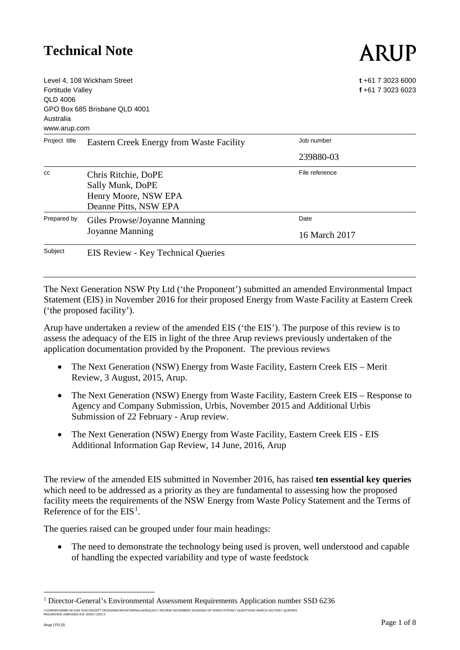# ARUP

| <b>Fortitude Valley</b><br>QLD 4006<br>Australia<br>www.arup.com | Level 4, 108 Wickham Street<br>GPO Box 685 Brisbane QLD 4001                             | $t + 61$ 7 3023 6000<br>f +61 7 3023 6023 |
|------------------------------------------------------------------|------------------------------------------------------------------------------------------|-------------------------------------------|
| Project title                                                    | Eastern Creek Energy from Waste Facility                                                 | Job number                                |
|                                                                  |                                                                                          | 239880-03                                 |
| CC                                                               | Chris Ritchie, DoPE<br>Sally Munk, DoPE<br>Henry Moore, NSW EPA<br>Deanne Pitts, NSW EPA | File reference                            |
| Prepared by                                                      | Giles Prowse/Joyanne Manning<br>Joyanne Manning                                          | Date<br>16 March 2017                     |
| Subject                                                          | EIS Review - Key Technical Queries                                                       |                                           |

The Next Generation NSW Pty Ltd ('the Proponent') submitted an amended Environmental Impact Statement (EIS) in November 2016 for their proposed Energy from Waste Facility at Eastern Creek ('the proposed facility').

Arup have undertaken a review of the amended EIS ('the EIS'). The purpose of this review is to assess the adequacy of the EIS in light of the three Arup reviews previously undertaken of the application documentation provided by the Proponent. The previous reviews

- The Next Generation (NSW) Energy from Waste Facility, Eastern Creek EIS Merit Review, 3 August, 2015, Arup.
- The Next Generation (NSW) Energy from Waste Facility, Eastern Creek EIS Response to Agency and Company Submission, Urbis, November 2015 and Additional Urbis Submission of 22 February - Arup review.
- The Next Generation (NSW) Energy from Waste Facility, Eastern Creek EIS EIS Additional Information Gap Review, 14 June, 2016, Arup

The review of the amended EIS submitted in November 2016, has raised **ten essential key queries** which need to be addressed as a priority as they are fundamental to assessing how the proposed facility meets the requirements of the NSW Energy from Waste Policy Statement and the Terms of Reference of for the  $EIS<sup>1</sup>$  $EIS<sup>1</sup>$  $EIS<sup>1</sup>$ .

The queries raised can be grouped under four main headings:

• The need to demonstrate the technology being used is proven, well understood and capable of handling the expected variability and type of waste feedstock

<span id="page-0-0"></span>J:/239000/239880-00 EZW EISCONCEPT DESIGNIWORKIINTERNAL\ADEQUACY REVIEW NOVEMBER 2016\DADI GP ANNOTATE\KEY QUESTIONS MARCH 2017\KEY QUERIES<br>REGARDING AMENDED EIS 160317.DOCX 1 Director-General's Environmental Assessment Requirements Application number SSD 6236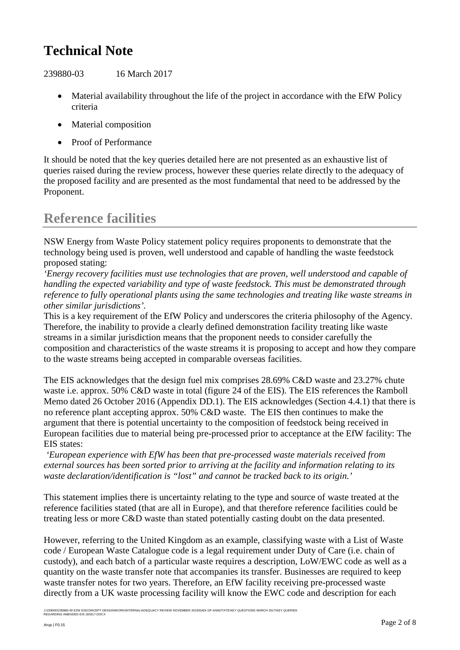239880-03 16 March 2017

- Material availability throughout the life of the project in accordance with the EfW Policy criteria
- Material composition
- Proof of Performance

It should be noted that the key queries detailed here are not presented as an exhaustive list of queries raised during the review process, however these queries relate directly to the adequacy of the proposed facility and are presented as the most fundamental that need to be addressed by the Proponent.

### **Reference facilities**

NSW Energy from Waste Policy statement policy requires proponents to demonstrate that the technology being used is proven, well understood and capable of handling the waste feedstock proposed stating:

*'Energy recovery facilities must use technologies that are proven, well understood and capable of handling the expected variability and type of waste feedstock. This must be demonstrated through reference to fully operational plants using the same technologies and treating like waste streams in other similar jurisdictions'.*

This is a key requirement of the EfW Policy and underscores the criteria philosophy of the Agency. Therefore, the inability to provide a clearly defined demonstration facility treating like waste streams in a similar jurisdiction means that the proponent needs to consider carefully the composition and characteristics of the waste streams it is proposing to accept and how they compare to the waste streams being accepted in comparable overseas facilities.

The EIS acknowledges that the design fuel mix comprises 28.69% C&D waste and 23.27% chute waste i.e. approx. 50% C&D waste in total (figure 24 of the EIS). The EIS references the Ramboll Memo dated 26 October 2016 (Appendix DD.1). The EIS acknowledges (Section 4.4.1) that there is no reference plant accepting approx. 50% C&D waste. The EIS then continues to make the argument that there is potential uncertainty to the composition of feedstock being received in European facilities due to material being pre-processed prior to acceptance at the EfW facility: The EIS states:

*'European experience with EfW has been that pre-processed waste materials received from external sources has been sorted prior to arriving at the facility and information relating to its waste declaration/identification is "lost" and cannot be tracked back to its origin.'*

This statement implies there is uncertainty relating to the type and source of waste treated at the reference facilities stated (that are all in Europe), and that therefore reference facilities could be treating less or more C&D waste than stated potentially casting doubt on the data presented.

However, referring to the United Kingdom as an example, classifying waste with a List of Waste code / European Waste Catalogue code is a legal requirement under Duty of Care (i.e. chain of custody), and each batch of a particular waste requires a description, LoW/EWC code as well as a quantity on the waste transfer note that accompanies its transfer. Businesses are required to keep waste transfer notes for two years. Therefore, an EfW facility receiving pre-processed waste directly from a UK waste processing facility will know the EWC code and description for each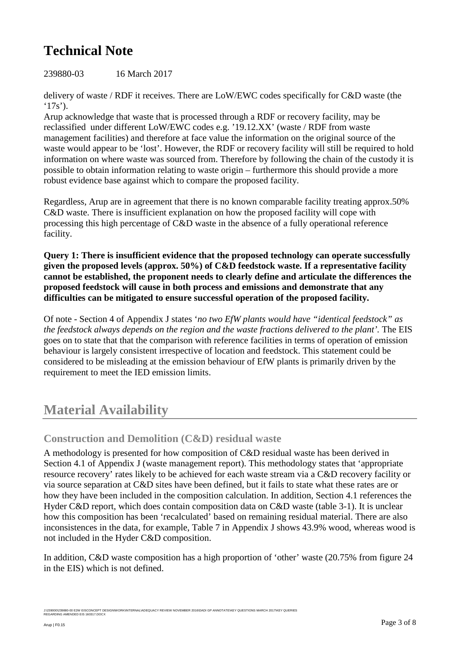239880-03 16 March 2017

delivery of waste / RDF it receives. There are LoW/EWC codes specifically for C&D waste (the  $'17s$ <sup>'</sup>).

Arup acknowledge that waste that is processed through a RDF or recovery facility, may be reclassified under different LoW/EWC codes e.g. '19.12.XX' (waste / RDF from waste management facilities) and therefore at face value the information on the original source of the waste would appear to be 'lost'. However, the RDF or recovery facility will still be required to hold information on where waste was sourced from. Therefore by following the chain of the custody it is possible to obtain information relating to waste origin – furthermore this should provide a more robust evidence base against which to compare the proposed facility.

Regardless, Arup are in agreement that there is no known comparable facility treating approx.50% C&D waste. There is insufficient explanation on how the proposed facility will cope with processing this high percentage of C&D waste in the absence of a fully operational reference facility.

**Query 1: There is insufficient evidence that the proposed technology can operate successfully given the proposed levels (approx. 50%) of C&D feedstock waste. If a representative facility cannot be established, the proponent needs to clearly define and articulate the differences the proposed feedstock will cause in both process and emissions and demonstrate that any difficulties can be mitigated to ensure successful operation of the proposed facility.**

Of note - Section 4 of Appendix J states '*no two EfW plants would have "identical feedstock" as the feedstock always depends on the region and the waste fractions delivered to the plant'.* The EIS goes on to state that that the comparison with reference facilities in terms of operation of emission behaviour is largely consistent irrespective of location and feedstock. This statement could be considered to be misleading at the emission behaviour of EfW plants is primarily driven by the requirement to meet the IED emission limits.

### **Material Availability**

#### **Construction and Demolition (C&D) residual waste**

A methodology is presented for how composition of C&D residual waste has been derived in Section 4.1 of Appendix J (waste management report). This methodology states that 'appropriate resource recovery' rates likely to be achieved for each waste stream via a C&D recovery facility or via source separation at C&D sites have been defined, but it fails to state what these rates are or how they have been included in the composition calculation. In addition, Section 4.1 references the Hyder C&D report, which does contain composition data on C&D waste (table 3-1). It is unclear how this composition has been 'recalculated' based on remaining residual material. There are also inconsistences in the data, for example, Table 7 in Appendix J shows 43.9% wood, whereas wood is not included in the Hyder C&D composition.

In addition, C&D waste composition has a high proportion of 'other' waste (20.75% from figure 24 in the EIS) which is not defined.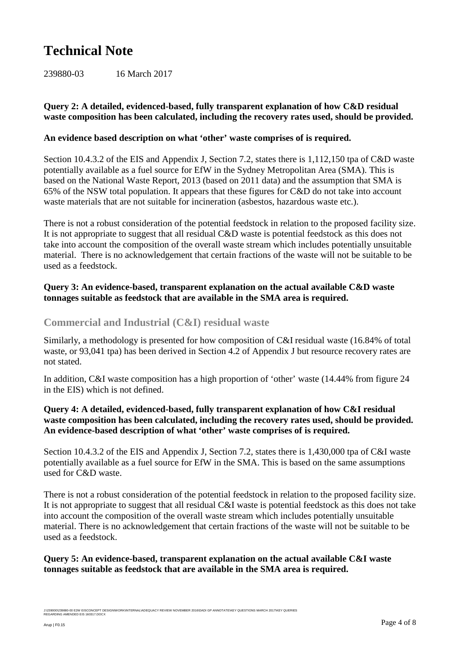239880-03 16 March 2017

#### **Query 2: A detailed, evidenced-based, fully transparent explanation of how C&D residual waste composition has been calculated, including the recovery rates used, should be provided.**

#### **An evidence based description on what 'other' waste comprises of is required.**

Section 10.4.3.2 of the EIS and Appendix J, Section 7.2, states there is 1,112,150 tpa of C&D waste potentially available as a fuel source for EfW in the Sydney Metropolitan Area (SMA). This is based on the National Waste Report, 2013 (based on 2011 data) and the assumption that SMA is 65% of the NSW total population. It appears that these figures for C&D do not take into account waste materials that are not suitable for incineration (asbestos, hazardous waste etc.).

There is not a robust consideration of the potential feedstock in relation to the proposed facility size. It is not appropriate to suggest that all residual C&D waste is potential feedstock as this does not take into account the composition of the overall waste stream which includes potentially unsuitable material. There is no acknowledgement that certain fractions of the waste will not be suitable to be used as a feedstock.

#### **Query 3: An evidence-based, transparent explanation on the actual available C&D waste tonnages suitable as feedstock that are available in the SMA area is required.**

#### **Commercial and Industrial (C&I) residual waste**

Similarly, a methodology is presented for how composition of C&I residual waste (16.84% of total waste, or 93,041 tpa) has been derived in Section 4.2 of Appendix J but resource recovery rates are not stated.

In addition, C&I waste composition has a high proportion of 'other' waste (14.44% from figure 24 in the EIS) which is not defined.

#### **Query 4: A detailed, evidenced-based, fully transparent explanation of how C&I residual waste composition has been calculated, including the recovery rates used, should be provided. An evidence-based description of what 'other' waste comprises of is required.**

Section 10.4.3.2 of the EIS and Appendix J, Section 7.2, states there is 1,430,000 tpa of C&I waste potentially available as a fuel source for EfW in the SMA. This is based on the same assumptions used for C&D waste.

There is not a robust consideration of the potential feedstock in relation to the proposed facility size. It is not appropriate to suggest that all residual C&I waste is potential feedstock as this does not take into account the composition of the overall waste stream which includes potentially unsuitable material. There is no acknowledgement that certain fractions of the waste will not be suitable to be used as a feedstock.

#### **Query 5: An evidence-based, transparent explanation on the actual available C&I waste tonnages suitable as feedstock that are available in the SMA area is required.**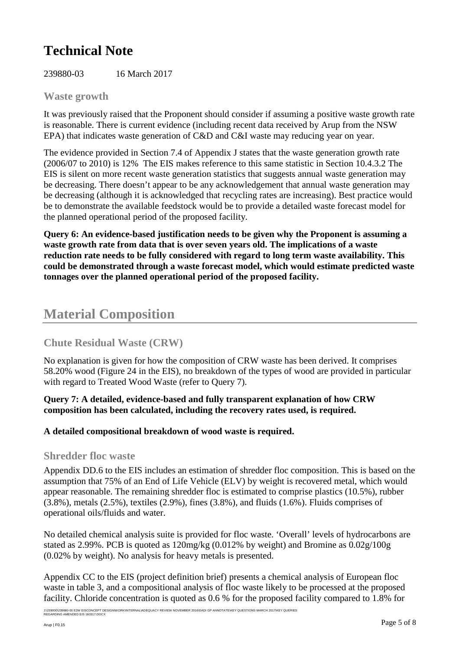239880-03 16 March 2017

#### **Waste growth**

It was previously raised that the Proponent should consider if assuming a positive waste growth rate is reasonable. There is current evidence (including recent data received by Arup from the NSW EPA) that indicates waste generation of C&D and C&I waste may reducing year on year.

The evidence provided in Section 7.4 of Appendix J states that the waste generation growth rate (2006/07 to 2010) is 12% The EIS makes reference to this same statistic in Section 10.4.3.2 The EIS is silent on more recent waste generation statistics that suggests annual waste generation may be decreasing. There doesn't appear to be any acknowledgement that annual waste generation may be decreasing (although it is acknowledged that recycling rates are increasing). Best practice would be to demonstrate the available feedstock would be to provide a detailed waste forecast model for the planned operational period of the proposed facility.

**Query 6: An evidence-based justification needs to be given why the Proponent is assuming a waste growth rate from data that is over seven years old. The implications of a waste reduction rate needs to be fully considered with regard to long term waste availability. This could be demonstrated through a waste forecast model, which would estimate predicted waste tonnages over the planned operational period of the proposed facility.** 

### **Material Composition**

#### **Chute Residual Waste (CRW)**

No explanation is given for how the composition of CRW waste has been derived. It comprises 58.20% wood (Figure 24 in the EIS), no breakdown of the types of wood are provided in particular with regard to Treated Wood Waste (refer to Query 7).

#### **Query 7: A detailed, evidence-based and fully transparent explanation of how CRW composition has been calculated, including the recovery rates used, is required.**

#### **A detailed compositional breakdown of wood waste is required.**

#### **Shredder floc waste**

Appendix DD.6 to the EIS includes an estimation of shredder floc composition. This is based on the assumption that 75% of an End of Life Vehicle (ELV) by weight is recovered metal, which would appear reasonable. The remaining shredder floc is estimated to comprise plastics (10.5%), rubber  $(3.8\%)$ , metals  $(2.5\%)$ , textiles  $(2.9\%)$ , fines  $(3.8\%)$ , and fluids  $(1.6\%)$ . Fluids comprises of operational oils/fluids and water.

No detailed chemical analysis suite is provided for floc waste. 'Overall' levels of hydrocarbons are stated as 2.99%. PCB is quoted as 120mg/kg (0.012% by weight) and Bromine as 0.02g/100g (0.02% by weight). No analysis for heavy metals is presented.

Appendix CC to the EIS (project definition brief) presents a chemical analysis of European floc waste in table 3, and a compositional analysis of floc waste likely to be processed at the proposed facility. Chloride concentration is quoted as 0.6 % for the proposed facility compared to 1.8% for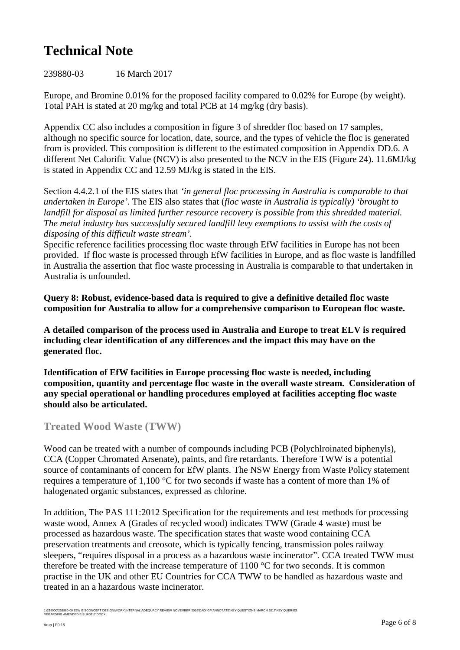239880-03 16 March 2017

Europe, and Bromine 0.01% for the proposed facility compared to 0.02% for Europe (by weight). Total PAH is stated at 20 mg/kg and total PCB at 14 mg/kg (dry basis).

Appendix CC also includes a composition in figure 3 of shredder floc based on 17 samples, although no specific source for location, date, source, and the types of vehicle the floc is generated from is provided. This composition is different to the estimated composition in Appendix DD.6. A different Net Calorific Value (NCV) is also presented to the NCV in the EIS (Figure 24). 11.6MJ/kg is stated in Appendix CC and 12.59 MJ/kg is stated in the EIS.

Section 4.4.2.1 of the EIS states that *'in general floc processing in Australia is comparable to that undertaken in Europe'.* The EIS also states that (*floc waste in Australia is typically) 'brought to landfill for disposal as limited further resource recovery is possible from this shredded material. The metal industry has successfully secured landfill levy exemptions to assist with the costs of disposing of this difficult waste stream'.*

Specific reference facilities processing floc waste through EfW facilities in Europe has not been provided. If floc waste is processed through EfW facilities in Europe, and as floc waste is landfilled in Australia the assertion that floc waste processing in Australia is comparable to that undertaken in Australia is unfounded.

**Query 8: Robust, evidence-based data is required to give a definitive detailed floc waste composition for Australia to allow for a comprehensive comparison to European floc waste.** 

**A detailed comparison of the process used in Australia and Europe to treat ELV is required including clear identification of any differences and the impact this may have on the generated floc.**

**Identification of EfW facilities in Europe processing floc waste is needed, including composition, quantity and percentage floc waste in the overall waste stream. Consideration of any special operational or handling procedures employed at facilities accepting floc waste should also be articulated.**

#### **Treated Wood Waste (TWW)**

<span id="page-5-0"></span>Wood can be treated with a number of compounds including PCB (Polychlroinated biphenyls), CCA (Copper Chromated Arsenate), paints, and fire retardants. Therefore TWW is a potential source of contaminants of concern for EfW plants. The NSW Energy from Waste Policy statement requires a temperature of 1,100 °C for two seconds if waste has a content of more than 1% of halogenated organic substances, expressed as chlorine.

In addition, The PAS 111:2012 Specification for the requirements and test methods for processing waste wood, Annex A (Grades of recycled wood) indicates TWW (Grade 4 waste) must be processed as hazardous waste. The specification states that waste wood containing CCA preservation treatments and creosote, which is typically fencing, transmission poles railway sleepers, "requires disposal in a process as a hazardous waste incinerator". CCA treated TWW must therefore be treated with the increase temperature of 1100 °C for two seconds. It is common practise in the UK and other EU Countries for CCA TWW to be handled as hazardous waste and treated in an a hazardous waste incinerator.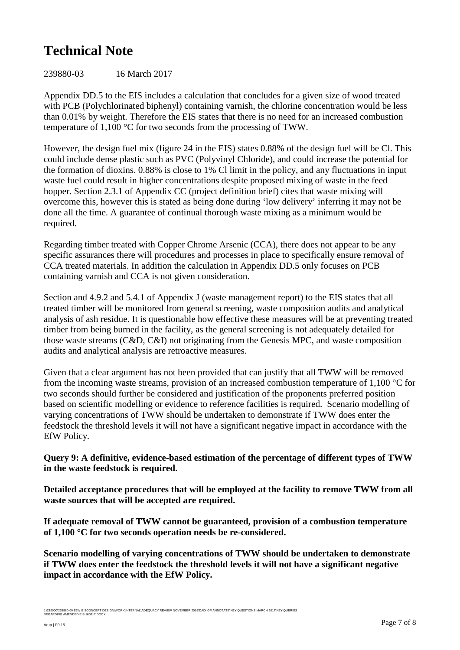239880-03 16 March 2017

Appendix DD.5 to the EIS includes a calculation that concludes for a given size of wood treated with PCB (Polychlorinated biphenyl) containing varnish, the chlorine concentration would be less than 0.01% by weight. Therefore the EIS states that there is no need for an increased combustion temperature of 1,100 °C for two seconds from the processing of TWW.

However, the design fuel mix (figure 24 in the EIS) states 0.88% of the design fuel will be Cl. This could include dense plastic such as PVC (Polyvinyl Chloride), and could increase the potential for the formation of dioxins. 0.88% is close to 1% Cl limit in the policy, and any fluctuations in input waste fuel could result in higher concentrations despite proposed mixing of waste in the feed hopper. Section 2.3.1 of Appendix CC (project definition brief) cites that waste mixing will overcome this, however this is stated as being done during 'low delivery' inferring it may not be done all the time. A guarantee of continual thorough waste mixing as a minimum would be required.

Regarding timber treated with Copper Chrome Arsenic (CCA), there does not appear to be any specific assurances there will procedures and processes in place to specifically ensure removal of CCA treated materials. In addition the calculation in Appendix DD.5 only focuses on PCB containing varnish and CCA is not given consideration.

Section and 4.9.2 and 5.4.1 of Appendix J (waste management report) to the EIS states that all treated timber will be monitored from general screening, waste composition audits and analytical analysis of ash residue. It is questionable how effective these measures will be at preventing treated timber from being burned in the facility, as the general screening is not adequately detailed for those waste streams (C&D, C&I) not originating from the Genesis MPC, and waste composition audits and analytical analysis are retroactive measures.

Given that a clear argument has not been provided that can justify that all TWW will be removed from the incoming waste streams, provision of an increased combustion temperature of 1,100 °C for two seconds should further be considered and justification of the proponents preferred position based on scientific modelling or evidence to reference facilities is required. Scenario modelling of varying concentrations of TWW should be undertaken to demonstrate if TWW does enter the feedstock the threshold levels it will not have a significant negative impact in accordance with the EfW Policy.

**Query 9: A definitive, evidence-based estimation of the percentage of different types of TWW in the waste feedstock is required.** 

**Detailed acceptance procedures that will be employed at the facility to remove TWW from all waste sources that will be accepted are required.**

**If adequate removal of TWW cannot be guaranteed, provision of a combustion temperature of 1,100 °C for two seconds operation needs be re-considered.**

**Scenario modelling of varying concentrations of TWW should be undertaken to demonstrate if TWW does enter the feedstock the threshold levels it will not have a significant negative impact in accordance with the EfW Policy.**